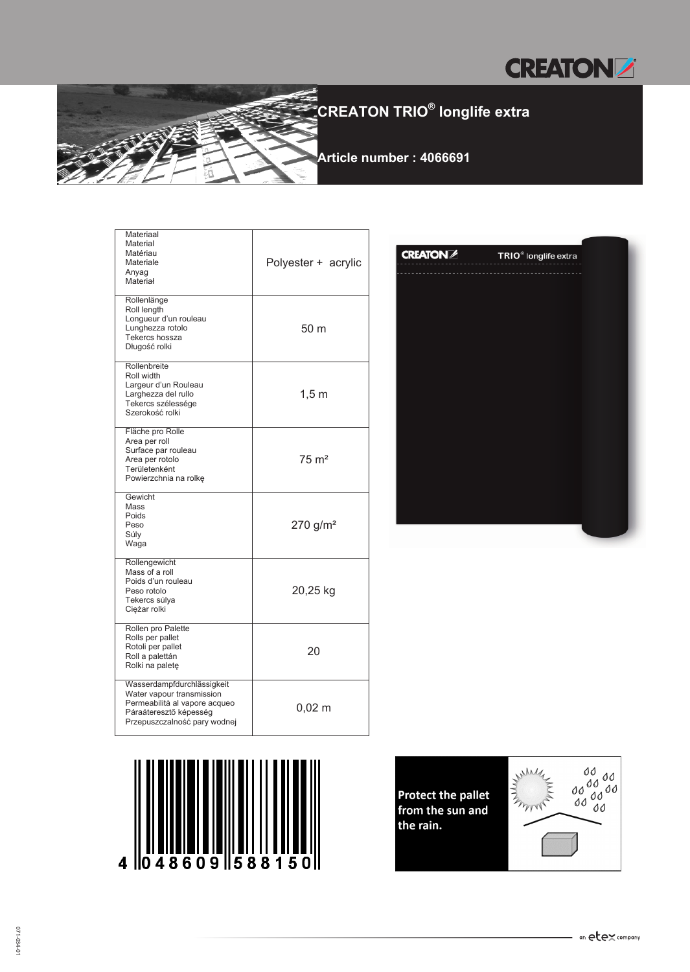



| Materiaal<br>Material<br>Matériau<br>Materiale<br>Anyag<br>Materiał                                                                                | Polyester + acrylic    |
|----------------------------------------------------------------------------------------------------------------------------------------------------|------------------------|
| Rollenlänge<br>Roll length<br>Longueur d'un rouleau<br>Lunghezza rotolo<br>Tekercs hossza<br>Długość rolki                                         | 50 m                   |
| Rollenbreite<br>Roll width<br>Largeur d'un Rouleau<br>Larghezza del rullo<br>Tekercs szélessége<br>Szerokość rolki                                 | $1,5$ m                |
| Fläche pro Rolle<br>Area per roll<br>Surface par rouleau<br>Area per rotolo<br>Területenként<br>Powierzchnia na rolkę                              | $75 \text{ m}^2$       |
| Gewicht<br>Mass<br>Poids<br>Peso<br>Súly<br>Waga                                                                                                   | $270$ g/m <sup>2</sup> |
| Rollengewicht<br>Mass of a roll<br>Poids d'un rouleau<br>Peso rotolo<br>Tekercs súlya<br>Ciężar rolki                                              | 20,25 kg               |
| Rollen pro Palette<br>Rolls per pallet<br>Rotoli per pallet<br>Roll a palettán<br>Rolki na paletę                                                  | 20                     |
| Wasserdampfdurchlässigkeit<br>Water vapour transmission<br>Permeabilità al vapore acqueo<br>Páraáteresztő képesség<br>Przepuszczalność pary wodnej | $0,02 \; \mathrm{m}$   |

| <b>CREATON</b> | TRIO <sup>®</sup> longlife extra |
|----------------|----------------------------------|
|                |                                  |
|                |                                  |
|                |                                  |
|                |                                  |
|                |                                  |
|                |                                  |
|                |                                  |
|                |                                  |
|                |                                  |
|                |                                  |
|                |                                  |
|                |                                  |
|                |                                  |





 $\overline{\mathbf{4}}$ 

0

 $48609$  588150

Protect the pallet<br>from the sun and the rain.

┙